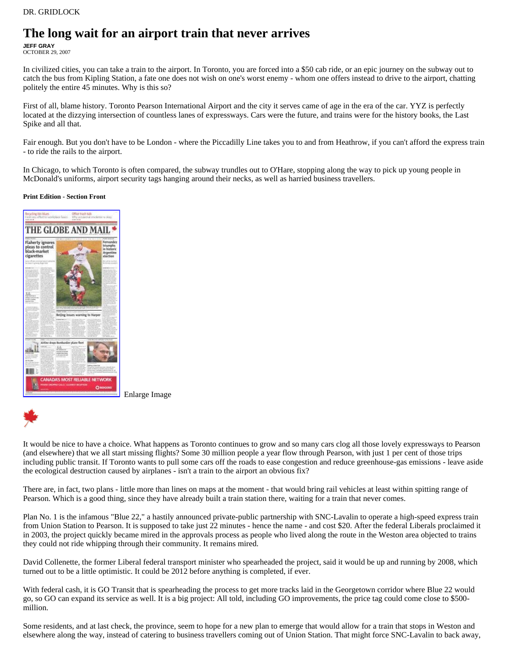## **The long wait for an airport train that never arrives**

**JEFF GRAY**  OCTOBER 29, 2007

In civilized cities, you can take a train to the airport. In Toronto, you are forced into a \$50 cab ride, or an epic journey on the subway out to catch the bus from Kipling Station, a fate one does not wish on one's worst enemy - whom one offers instead to drive to the airport, chatting politely the entire 45 minutes. Why is this so?

First of all, blame history. Toronto Pearson International Airport and the city it serves came of age in the era of the car. YYZ is perfectly located at the dizzying intersection of countless lanes of expressways. Cars were the future, and trains were for the history books, the Last Spike and all that.

Fair enough. But you don't have to be London - where the Piccadilly Line takes you to and from Heathrow, if you can't afford the express train - to ride the rails to the airport.

In Chicago, to which Toronto is often compared, the subway trundles out to O'Hare, stopping along the way to pick up young people in McDonald's uniforms, airport security tags hanging around their necks, as well as harried business travellers.

## **Print Edition - Section Front**



Enlarge Image



It would be nice to have a choice. What happens as Toronto continues to grow and so many cars clog all those lovely expressways to Pearson (and elsewhere) that we all start missing flights? Some 30 million people a year flow through Pearson, with just 1 per cent of those trips including public transit. If Toronto wants to pull some cars off the roads to ease congestion and reduce greenhouse-gas emissions - leave aside the ecological destruction caused by airplanes - isn't a train to the airport an obvious fix?

There are, in fact, two plans - little more than lines on maps at the moment - that would bring rail vehicles at least within spitting range of Pearson. Which is a good thing, since they have already built a train station there, waiting for a train that never comes.

Plan No. 1 is the infamous "Blue 22," a hastily announced private-public partnership with SNC-Lavalin to operate a high-speed express train from Union Station to Pearson. It is supposed to take just 22 minutes - hence the name - and cost \$20. After the federal Liberals proclaimed it in 2003, the project quickly became mired in the approvals process as people who lived along the route in the Weston area objected to trains they could not ride whipping through their community. It remains mired.

David Collenette, the former Liberal federal transport minister who spearheaded the project, said it would be up and running by 2008, which turned out to be a little optimistic. It could be 2012 before anything is completed, if ever.

With federal cash, it is GO Transit that is spearheading the process to get more tracks laid in the Georgetown corridor where Blue 22 would go, so GO can expand its service as well. It is a big project: All told, including GO improvements, the price tag could come close to \$500 million.

Some residents, and at last check, the province, seem to hope for a new plan to emerge that would allow for a train that stops in Weston and elsewhere along the way, instead of catering to business travellers coming out of Union Station. That might force SNC-Lavalin to back away,